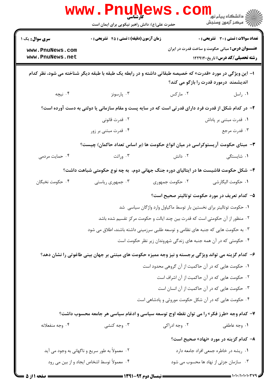|                                                              | WWW . P<br>$\prod_{\omega} U \prod_{\omega} V$<br>حضرت علی(ع): دانش راهبر نیکویی برای ایمان است           |                 | ڪ دانشڪاه پيام نو <mark>ر</mark><br>و⊂ مرڪز آزمون وسنجش                                                                                          |
|--------------------------------------------------------------|-----------------------------------------------------------------------------------------------------------|-----------------|--------------------------------------------------------------------------------------------------------------------------------------------------|
| <b>سری سوال :</b> یک ۱<br>www.PnuNews.com<br>www.PnuNews.net | <b>زمان آزمون (دقیقه) : تستی : 45 گشریحی : 0</b>                                                          |                 | <b>تعداد سوالات : تستی : 30 ٪ تشریحی : 0</b><br><b>عنـــوان درس:</b> مبانی حکومت و ساخت قدرت در ایران<br><b>رشته تحصیلی/کد درس:</b> تاریخ۱۲۲۹۱۴۰ |
|                                                              | ا– این ویژگی در مورد «قدرت» که خصیصه طبقاتی داشته و در رابطه یک طبقه با طبقه دیگر شناخته می شود، نظر کدام |                 | اندیشمند درمورد قدرت را بازگو می کند؟                                                                                                            |
| ۰۴ نیچه                                                      | ۰۳ پارسونز                                                                                                | ۰۲ مارکس        | ۰۱ راسل                                                                                                                                          |
|                                                              | ۲- در کدام شکل از قدرت فرد دارای قدرتی است که در سایه پست و مقام سازمانی یا دولتی به دست آورده است؟       |                 |                                                                                                                                                  |
|                                                              | ۰۲ قدرت قانونی                                                                                            |                 | ۰۱ قدرت مبتنی بر پاداش                                                                                                                           |
|                                                              | ۰۴ قدرت مبتنی بر زور                                                                                      |                 | ۰۳ قدرت مرجع                                                                                                                                     |
|                                                              | ۳- مبنای حکومت آریستوکراسی در میان انواع حکومت ها (بر اساس تعداد حاکمان) چیست؟                            |                 |                                                                                                                                                  |
| ۰۴ حمایت مردمی                                               | ۰۳ وراثت                                                                                                  | ۰۲ دانش         | ۰۱ شایستگی                                                                                                                                       |
|                                                              | ۴– شکل حکومت فاشیست ها در ایتالیای دوره جنگ جهانی دوم، به چه نوع حکومتی شباهت داشت؟                       |                 |                                                                                                                                                  |
| ۰۴ حکومت نخبگان                                              | ۰۳ جمهوری ریاستی                                                                                          | ۰۲ حکومت جمهوری | ٠١. حكومت اليگارشي                                                                                                                               |
|                                                              |                                                                                                           |                 | ۵– کدام تعریف در مورد حکومت توتالیتر صحیح است؟                                                                                                   |
|                                                              |                                                                                                           |                 | ۰۱ حکومت توتالیتر برای نخستین بار توسط ماکیاول وارد واژگان سیاسی  شد                                                                             |
|                                                              | ۰۲ منظور از آن حکومتی است که قدرت بین چند ایالت و حکومت مرکز تقسیم شده باشد                               |                 |                                                                                                                                                  |
|                                                              | ۰۳ به حکومت هایی که جنبه های نظامی و توسعه طلبی سرزمینی داشته باشند، اطلاق می شود                         |                 |                                                                                                                                                  |
|                                                              |                                                                                                           |                 | ۰۴ حکومتی که در آن همه جنبه های زندگی شهروندان زیر نظر حکومت است                                                                                 |
|                                                              | ۶- کدام گزینه می تواند ویژگی برجسته و نیز وجه ممیزه حکومت های مبتنی بر جهان بینی طاغوتی را نشان دهد؟      |                 |                                                                                                                                                  |
|                                                              |                                                                                                           |                 | ۰۱ حکومت هایی که در آن حاکمیت از آن گروهی محدود است                                                                                              |
|                                                              |                                                                                                           |                 | ۰۲ حکومت هایی که در آن حاکمیت از آن اشراف است                                                                                                    |
|                                                              |                                                                                                           |                 | ۰۳ حکومت هایی که در آن حاکمیت از آن انسان است                                                                                                    |
|                                                              |                                                                                                           |                 | ۰۴ حکومت هایی که در آن شکل حکومت موروثی و پادشاهی است                                                                                            |
|                                                              | ۷- کدام وجه «طرز فکر» را می توان نقطه اوج توسعه سیاسی و ادغام سیاسی هر جامعه محسوب داشت؟                  |                 |                                                                                                                                                  |
| ۰۴ وجه منفعلانه                                              | ۰۳ وجه کنشی                                                                                               | ۰۲ وجه ادراکی   | ۰۱ وجه عاطفی                                                                                                                                     |
|                                                              |                                                                                                           |                 | ۸– کدام گزینه در مورد «نهاد» صحیح است؟                                                                                                           |
|                                                              | ۰۲ معمولاً به طور سریع و ناگهانی به وجود می آید                                                           |                 | ۰۱ ریشه در خاطره جمعی افراد جامعه دارد                                                                                                           |
|                                                              | ۰۴ معمولاً توسط اشخاص ايجاد و از بين مي رود                                                               |                 | ۰۳ سازمان جزئی از نهاد ها محسوب می شود                                                                                                           |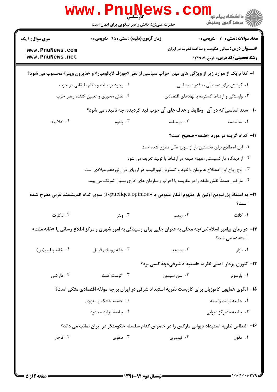| ڪ دانشڪاه پيام نور<br><mark>ر</mark> √ مرڪز آزمون وسنڊش                                         |             | حضرت علی(ع): دانش راهبر نیکویی برای ایمان است                                                   |                                                                                                             |  |
|-------------------------------------------------------------------------------------------------|-------------|-------------------------------------------------------------------------------------------------|-------------------------------------------------------------------------------------------------------------|--|
| <b>تعداد سوالات : تستی : 30 ٪ تشریحی : 0</b>                                                    |             | زمان آزمون (دقیقه) : تستی : 45 آتشریحی : 0                                                      | <b>سری سوال : ۱ یک</b>                                                                                      |  |
| <b>عنـــوان درس:</b> مبانی حکومت و ساخت قدرت در ایران<br><b>رشته تحصیلی/کد درس:</b> تاریخ122914 |             |                                                                                                 | www.PnuNews.com<br>www.PnuNews.net                                                                          |  |
|                                                                                                 |             |                                                                                                 | ۹- کدام یک از موارد زیر از ویژگی های مهم احزاب سیاسی از نظر «جوزف لاپالومبار» و «مایرون وینر» محسوب می شود؟ |  |
| ۰۱ کوشش برای دستیابی به قدرت سیاسی                                                              |             | ۰۲ وجود ترتیبات و نظام طبقاتی در حزب                                                            |                                                                                                             |  |
| ۰۳ وابستگی و ارتباط گسترده با نهادهای اقتصادی                                                   |             | ۰۴ نقش محوری و تعیین کننده رهبر حزب                                                             |                                                                                                             |  |
|                                                                                                 |             | ۱۰- سند اساسی که در آن۔ وظایف و هدف های آن حزب قید گردیده، چه نامیده می شود؟                    |                                                                                                             |  |
| ٠١. اساسنامه                                                                                    | ۰۲ مرامنامه | ۰۳ پلنوم                                                                                        | ۰۴ اعلاميه                                                                                                  |  |
| 11- كدام گزينه در مورد «طبقه» صحيح است؟                                                         |             |                                                                                                 |                                                                                                             |  |
| ۰۱ این اصطلاح برای نخستین بار از سوی هگل مطرح شده است                                           |             |                                                                                                 |                                                                                                             |  |
| ۲. از دیدگاه مارکسیستی مفهوم طبقه در ارتباط با تولید تعریف می شود                               |             |                                                                                                 |                                                                                                             |  |
|                                                                                                 |             | ۰۳ اوج رواج این اصطلاح همزمان با نفوذ و گسترش لیبرالیسم در اروپای قرن نوزدهم میلادی است         |                                                                                                             |  |
|                                                                                                 |             | ۰۴ مارکس عمدتاً نقش طبقه را در مقایسه با احزاب و سازمان های اداری بسیار کمرنگ می بیند           |                                                                                                             |  |
| است؟                                                                                            |             |                                                                                                 | 1۲– به اعتقاد پل نیومن اولین بار مفهوم افکار عمومی یا «publiqeu opinion» از سوی کدام اندیشمند غربی مطرح شده |  |
| ۰۱ کانت                                                                                         | ۰۲ روسو     | ۰۳ ولتر                                                                                         | ۰۴ دکارت                                                                                                    |  |
| استفاده می شد؟                                                                                  |             |                                                                                                 | ۱۳- در زمان پیامبر اسلام(ص)چه محلی به عنوان جایی برای رسیدگی به امور شهری و مرکز اطلاع رسانی یا «خانه ملت»  |  |
| ۰۱ بازار                                                                                        | ٢. مسجد     | ۰۳ خانه روساي قبايل                                                                             | ۰۴ خانه پیامبر(ص)                                                                                           |  |
| <b>۱۴</b> - تئوری پرداز اصلی نظریه «استبداد شرقی»چه کسی بود؟                                    |             |                                                                                                 |                                                                                                             |  |
| ۰۱ پارسونز                                                                                      | ۰۲ سن سيمون | ۰۳ اگوست کنت                                                                                    | ۰۴ مارکس                                                                                                    |  |
|                                                                                                 |             | ۱۵– الگوی همایون کاتوزیان برای کاربست نظریه استبداد شرقی در ایران بر چه مولفه اقتصادی متکی است؟ |                                                                                                             |  |
| ۰۱ جامعه توليد وابسته                                                                           |             | ۰۲ جامعه خشک و منزوی                                                                            |                                                                                                             |  |
| ۰۳ جامعه متمرکز دیوانی                                                                          |             | ۰۴ جامعه توليد محدود                                                                            |                                                                                                             |  |
|                                                                                                 |             | ۱۶– العطاس نظریه استبداد دیوانی مارکس را در خصوص کدام سلسله حکومتگر در ایران صائب می داند؟      |                                                                                                             |  |
|                                                                                                 |             |                                                                                                 |                                                                                                             |  |

ЧŦ.

...

. .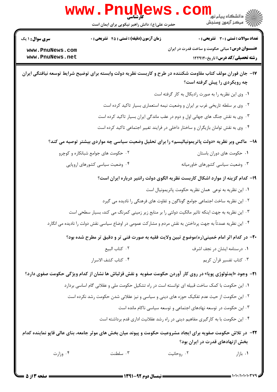|                                                              | www.PnuNews.<br>حضرت علی(ع): دانش راهبر نیکویی برای ایمان است                                                      | COII<br>دانشگاه پیام نور<br>ا∰ مرکز آزمهن وسنجش                                                                                                 |          |
|--------------------------------------------------------------|--------------------------------------------------------------------------------------------------------------------|-------------------------------------------------------------------------------------------------------------------------------------------------|----------|
| <b>سری سوال : ۱ یک</b><br>www.PnuNews.com<br>www.PnuNews.net | <b>زمان آزمون (دقیقه) : تستی : 45 قشریحی : 0</b>                                                                   | <b>تعداد سوالات : تستی : 30 ٪ تشریحی : 0</b><br><b>عنـــوان درس:</b> مبانی حکومت و ساخت قدرت در ایران<br><b>رشته تحصیلی/کد درس:</b> تاریخ122914 |          |
|                                                              | ۱۷– جان فوران مولف کتاب مقاومت شکننده در طرح و کاربست نظریه دولت وابسته برای توضیح شرایط توسعه نیافتگی ایران       | چه رویکردی را پیش گرفته است؟                                                                                                                    |          |
|                                                              |                                                                                                                    | ۰۱ وی این نظریه را به صورت رادیکال به کار گرفته است                                                                                             |          |
|                                                              |                                                                                                                    | ۰۲ وی بر سلطه تاریخی غرب بر ایران و وضعیت نیمه استعماری بسیار تاکید کرده است                                                                    |          |
|                                                              |                                                                                                                    | ۰۳ وی به نقش جنگ های جهانی اول و دوم در عقب ماندگی ایران بسیار تاکید کرده است                                                                   |          |
|                                                              |                                                                                                                    | ۰۴ وی به نقش توامان بازیگران و ساختار داخلی در فرایند تغییر اجتماعی تاکید کرده است                                                              |          |
|                                                              | ۱۸–   ماکس وبر نظریه «دولت پاتریمونیالیسم» را برای تحلیل وضعیت سیاسی چه مواردی بیشتر توصیه می کند؟                 |                                                                                                                                                 |          |
|                                                              | ۰۲ حکومت های جوامع شبانکاره و کوچرو                                                                                | ٠١ حكومت هاى دوران باستان                                                                                                                       |          |
|                                                              | ۰۴ وضعیت سیاسی کشورهای اروپایی                                                                                     | ۰۳ وضعیت سیاسی کشورهای خاورمیانه                                                                                                                |          |
|                                                              |                                                                                                                    | ۱۹- کدام گزینه از موارد اشکال کاربست نظریه الگوی دولت رانتیر درباره ایران است؟                                                                  |          |
|                                                              |                                                                                                                    | ٠١ اين نظريه به نوعي ٍ همان نظريه حكومت پاتريمونيال است                                                                                         |          |
|                                                              |                                                                                                                    | ۰۲ این نظریه ساخت اجتماعی جوامع گوناگون و تفاوت های فرهنگی را نادیده می گیرد                                                                    |          |
|                                                              | ۰۳ این نظریه به جهت اینکه تاثیر مالکیت دولتی را بر منابع زیر زمینی کمرنگ می کند، بسیار سطحی است                    |                                                                                                                                                 |          |
|                                                              | ۰۴ این نظریه عمدتاً به جهت پرداختن به نقش مردم و مشارکت عمومی در اوضاع سیاسی نقش دولت را نادیده می انگارد          |                                                                                                                                                 |          |
|                                                              | +۲- در کدام اثر امام خمینی(ره)موضوع تبین ولایت فقیه به صورت فنی تر و دقیق تر مطرح شده بود؟                         |                                                                                                                                                 |          |
|                                                              | ٠٢ كتاب البيع                                                                                                      | ٠١ درسنامه ايشان در نجف اشرف                                                                                                                    |          |
|                                                              | ۰۴ كتاب كشف الاسرار                                                                                                | ۰۳ کتاب تفسیر قرآن کریم                                                                                                                         |          |
|                                                              | <b>۲۱</b> - وجود «ایدئولوژی پویا» در روی کار آوردن حکومت صفویه و نقش قزلباش ها نشان از کدام ویژگی حکومت صفوی دارد؟ |                                                                                                                                                 |          |
|                                                              | ۰۱ این حکومت با کمک ساخت قبیله ای توانسته است در راه تشکیل حکومت ملی و عقلانی گام اساسی بردارد                     |                                                                                                                                                 |          |
|                                                              | ۲ . این حکومت از حیث عدم تفکیک حوزه های دینی و سیاسی و نیز عقلانی شدن حکومت رشد نکرده است                          |                                                                                                                                                 |          |
|                                                              |                                                                                                                    | ۰۳ این حکومت در توسعه نهادهای اجتماعی و توسعه سیاسی ناکام مانده است                                                                             |          |
|                                                              |                                                                                                                    | ۰۴ این حکومت با به کارگیری مفاهیم دینی در راه رشد عقلانیت اداری قدم برداشته است                                                                 |          |
|                                                              | ۲۲– در تلاش حکومت صفویه برای ایجاد مشروعیت حکومت و پیوند میان بخش های موثر جامعه، بنای عالی قاپو نماینده کدام      | بخش ازنهادهای قدرت در ایران بود؟                                                                                                                |          |
| ۰۴ وزارت                                                     | $\cdot$ سلطنت                                                                                                      | ۰۲ روحانیت                                                                                                                                      | ۰۱ بازار |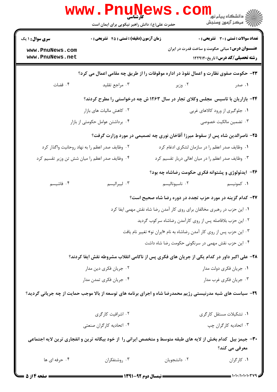|                                                                                                               | کارشناسی<br>حضرت علی(ع): دانش راهبر نیکویی برای ایمان است                                                   |                                                                  | ڪ دانشڪاه پيا <sub>م</sub> نور<br><mark>√</mark> مرڪز آزمون وسنڊش                                |  |  |
|---------------------------------------------------------------------------------------------------------------|-------------------------------------------------------------------------------------------------------------|------------------------------------------------------------------|--------------------------------------------------------------------------------------------------|--|--|
| <b>سری سوال :</b> ۱ یک                                                                                        | <b>زمان آزمون (دقیقه) : تستی : 45 تشریحی : 0</b><br><b>تعداد سوالات : تستی : 30 ٪ تشریحی : 0</b>            |                                                                  |                                                                                                  |  |  |
| www.PnuNews.com<br>www.PnuNews.net                                                                            |                                                                                                             |                                                                  | <b>عنـــوان درس:</b> مبانی حکومت و ساخت قدرت در ایران<br><b>رشته تحصیلی/کد درس:</b> تاریخ۱۲۲۹۱۴۰ |  |  |
| <b>۲۳</b> - حکومت صفوی نظارت و اعمال نفوذ در اداره موقوفات را از طریق چه مقامی اعمال می کرد؟                  |                                                                                                             |                                                                  |                                                                                                  |  |  |
| ۰۴ قضات                                                                                                       | ۰۳ مراجع تقليد                                                                                              | ۰۲ وزیر                                                          | ۱. صدر                                                                                           |  |  |
|                                                                                                               | ۲۴- بازاریان با تاسیس مجلس وکلای تجار در سال ۱۲۶۳ ش چه درخواستی را مطرح کردند؟                              |                                                                  |                                                                                                  |  |  |
|                                                                                                               | ۰۱ جلوگیری از ورود کالاهای غربی<br>۰۲ کاهش مالیات های بازار                                                 |                                                                  |                                                                                                  |  |  |
| ۰۴ برداشتن عوامل حکومتی از بازار                                                                              |                                                                                                             |                                                                  | ۰۳ تضمین مالکیت خصوصی                                                                            |  |  |
| ۲۵- ناصرالدین شاه پس از سقوط میرزا آقاخان نوری چه تصمیمی در مورد وزارت گرفت؟                                  |                                                                                                             |                                                                  |                                                                                                  |  |  |
| ۰۲ وظایف صدر اعظم را به نهاد روحانیت واگذار کرد                                                               |                                                                                                             | ۰۱ وظایف صدر اعظم را در سازمان لشکری ادغام کرد                   |                                                                                                  |  |  |
|                                                                                                               | ۰۴ وظایف صدر اعظم را میان شش تن وزیر تقسیم کرد                                                              | ۰۳ وظایف صدر اعظم را در میان اهالی دربار تقسیم کرد               |                                                                                                  |  |  |
|                                                                                                               |                                                                                                             | ۲۶- آیدئولوژی و پشتوانه فکری حکومت رضاشاه چه بود؟                |                                                                                                  |  |  |
| ۰۴ فاشیسم                                                                                                     | ۰۳ ليبراليسم                                                                                                | ۰۲ ناسيوناليسم                                                   | ۰۱ کمونیسم                                                                                       |  |  |
|                                                                                                               |                                                                                                             | <b>۲۷- کدام گزینه در مورد حزب تجدد در دوره رضا شاه صحیح است؟</b> |                                                                                                  |  |  |
|                                                                                                               | ۰۱ این حزب در رهبری مخالفان برای روی کار آمدن رضا شاه نقش مهمی ایفا کرد                                     |                                                                  |                                                                                                  |  |  |
| ۰۲ این حزب بلافاصله پس از روی کارآمدن رضاشاه سرکوب گردید                                                      |                                                                                                             |                                                                  |                                                                                                  |  |  |
| ۰۳ این حزب پس از روی کار آمدن رضاشاه به نام «ایران نو» تغییر نام یافت                                         |                                                                                                             |                                                                  |                                                                                                  |  |  |
|                                                                                                               |                                                                                                             | ۰۴ این حزب نقش مهمی در سرنگونی حکومت رضا شاه داشت                |                                                                                                  |  |  |
|                                                                                                               | ۲۸- علی اکبر داور در کدام یکی از جریان های فکری پس از ناکامی انقلاب مشروطه نقش ایفا کردند؟                  |                                                                  |                                                                                                  |  |  |
|                                                                                                               | ۰۲ جریان فکری دین مدار                                                                                      |                                                                  | ۰۱ جریان فکری دولت مدار                                                                          |  |  |
|                                                                                                               | ۰۴ جریان فکری تمدن مدار                                                                                     |                                                                  | ۰۳ جریان فکری غرب مدار                                                                           |  |  |
|                                                                                                               | ۲۹- سیاست های شبه مدرنیستی رژیم محمدرضا شاه و اجرای برنامه های توسعه از بالا موجب حمایت از چه جریانی گردید؟ |                                                                  |                                                                                                  |  |  |
|                                                                                                               | ۰۲ اشرافیت کارگری                                                                                           |                                                                  | ۰۱ تشکیلات مستقل کارگری                                                                          |  |  |
|                                                                                                               | ۰۴ اتحادیه کارگران صنعتی                                                                                    |                                                                  | ۰۳ اتحادیه کارگران چپ                                                                            |  |  |
| ۳۰- جیمز بیل کدام بخش از لایه های طبقه متوسط و متخصص ایرانی را از خود بیگانه ترین و انفجاری ترین لایه اجتماعی |                                                                                                             |                                                                  |                                                                                                  |  |  |
|                                                                                                               |                                                                                                             |                                                                  | معرفی می کند؟                                                                                    |  |  |
| ۰۴ حرفه ای ها                                                                                                 | ۰۳ روشنفکران                                                                                                | ۰۲ دانشجويان                                                     | ٠١. كاركران                                                                                      |  |  |
|                                                                                                               |                                                                                                             |                                                                  |                                                                                                  |  |  |